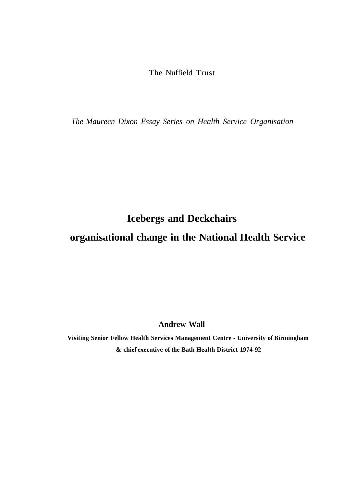The Nuffield Trust

*The Maureen Dixon Essay Series on Health Service Organisation* 

**Icebergs and Deckchairs** 

# **organisational change in the National Health Service**

**Andrew Wall** 

**Visiting Senior Fellow Health Services Management Centre - University of Birmingham & chief executive of the Bath Health District 1974-92**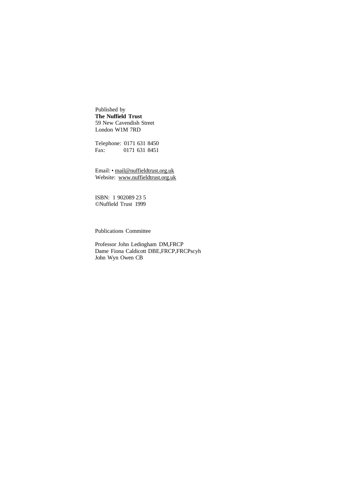Published by **The Nuffield Trust**  59 New Cavendish Street London W1M 7RD

Telephone: 0171 631 8450 Fax: 0171 631 8451

Email: • [mail@nuffieldtrust.org.uk](mailto:mail@nuffieldtrust.org.uk)  Website: [www.nuffieldtrust.org.uk](http://www.nuffieldtrust.org.uk) 

ISBN: 1 902089 23 5 ©Nuffield Trust 1999

Publications Committee

Professor John Ledingham DM,FRCP Dame Fiona Caldicott DBE, FRCP, FRCPscyh John Wyn Owen CB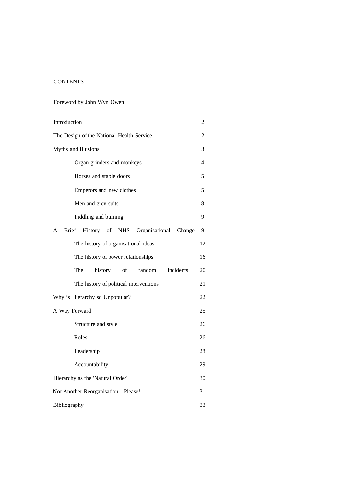# **CONTENTS**

# Foreword by John Wyn Owen

| Introduction                                                              | 2  |
|---------------------------------------------------------------------------|----|
| The Design of the National Health Service                                 | 2  |
| Myths and Illusions                                                       | 3  |
| Organ grinders and monkeys                                                | 4  |
| Horses and stable doors                                                   | 5  |
| Emperors and new clothes                                                  | 5  |
| Men and grey suits                                                        | 8  |
| Fiddling and burning                                                      | 9  |
| History of<br>Organisational<br><b>Brief</b><br><b>NHS</b><br>A<br>Change | 9  |
| The history of organisational ideas                                       | 12 |
| The history of power relationships                                        | 16 |
| The<br>random<br>incidents<br>history<br>of                               | 20 |
| The history of political interventions                                    | 21 |
| Why is Hierarchy so Unpopular?                                            | 22 |
| A Way Forward                                                             | 25 |
| Structure and style                                                       | 26 |
| Roles                                                                     | 26 |
| Leadership                                                                | 28 |
| Accountability                                                            | 29 |
| Hierarchy as the 'Natural Order'                                          | 30 |
| Not Another Reorganisation - Please!                                      | 31 |
| Bibliography                                                              | 33 |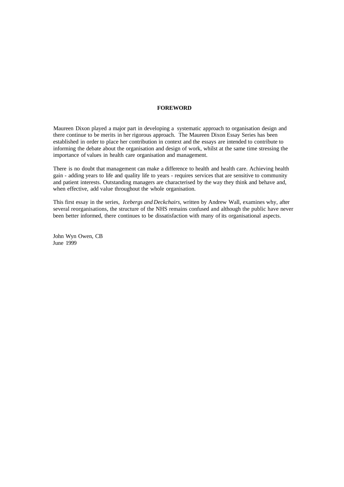#### **FOREWORD**

Maureen Dixon played a major part in developing a systematic approach to organisation design and there continue to be merits in her rigorous approach. The Maureen Dixon Essay Series has been established in order to place her contribution in context and the essays are intended to contribute to informing the debate about the organisation and design of work, whilst at the same time stressing the importance of values in health care organisation and management.

There is no doubt that management can make a difference to health and health care. Achieving health gain - adding years to life and quality life to years - requires services that are sensitive to community and patient interests. Outstanding managers are characterised by the way they think and behave and, when effective, add value throughout the whole organisation.

This first essay in the series, *Icebergs and Deckchairs,* written by Andrew Wall, examines why, after several reorganisations, the structure of the NHS remains confused and although the public have never been better informed, there continues to be dissatisfaction with many of its organisational aspects.

John Wyn Owen, CB June 1999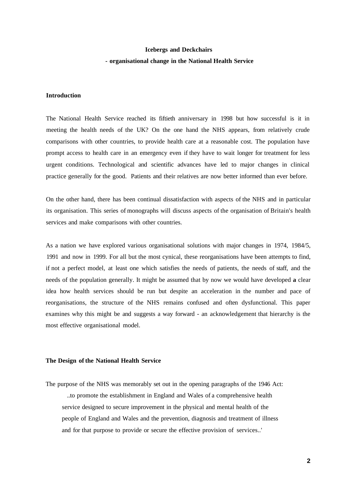# **Icebergs and Deckchairs - organisational change in the National Health Service**

# **Introduction**

The National Health Service reached its fiftieth anniversary in 1998 but how successful is it in meeting the health needs of the UK? On the one hand the NHS appears, from relatively crude comparisons with other countries, to provide health care at a reasonable cost. The population have prompt access to health care in an emergency even if they have to wait longer for treatment for less urgent conditions. Technological and scientific advances have led to major changes in clinical practice generally for the good. Patients and their relatives are now better informed than ever before.

On the other hand, there has been continual dissatisfaction with aspects of the NHS and in particular its organisation. This series of monographs will discuss aspects of the organisation of Britain's health services and make comparisons with other countries.

As a nation we have explored various organisational solutions with major changes in 1974, 1984/5, 1991 and now in 1999. For all but the most cynical, these reorganisations have been attempts to find, if not a perfect model, at least one which satisfies the needs of patients, the needs of staff, and the needs of the population generally. It might be assumed that by now we would have developed **a** clear idea how health services should be run but despite an acceleration in the number and pace of reorganisations, the structure of the NHS remains confused and often dysfunctional. This paper examines why this might be and suggests a way forward - an acknowledgement that hierarchy is the most effective organisational model.

#### **The Design of the National Health Service**

The purpose of the NHS was memorably set out in the opening paragraphs of the 1946 Act: ..to promote the establishment in England and Wales of a comprehensive health service designed to secure improvement in the physical and mental health of the people of England and Wales and the prevention, diagnosis and treatment of illness and for that purpose to provide or secure the effective provision of services..'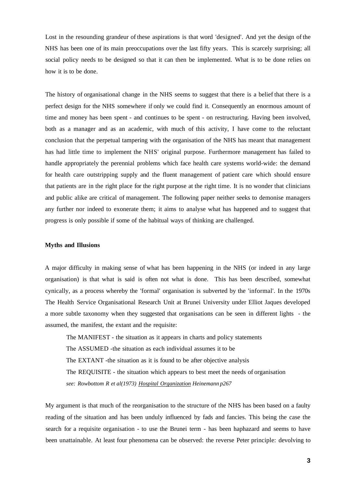Lost in the resounding grandeur of these aspirations is that word 'designed'. And yet the design of the NHS has been one of its main preoccupations over the last fifty years. This is scarcely surprising; all social policy needs to be designed so that it can then be implemented. What is to be done relies on how it is to be done.

The history of organisational change in the NHS seems to suggest that there is a belief that there is a perfect design for the NHS somewhere if only we could find it. Consequently an enormous amount of time and money has been spent - and continues to be spent - on restructuring. Having been involved, both as a manager and as an academic, with much of this activity, I have come to the reluctant conclusion that the perpetual tampering with the organisation of the NHS has meant that management has had little time to implement the NHS' original purpose. Furthermore management has failed to handle appropriately the perennial problems which face health care systems world-wide: the demand for health care outstripping supply and the fluent management of patient care which should ensure that patients are in the right place for the right purpose at the right time. It is no wonder that clinicians and public alike are critical of management. The following paper neither seeks to demonise managers any further nor indeed to exonerate them; it aims to analyse what has happened and to suggest that progress is only possible if some of the habitual ways of thinking are challenged.

# **Myths and Illusions**

A major difficulty in making sense of what has been happening in the NHS (or indeed in any large organisation) is that what is said is often not what is done. This has been described, somewhat cynically, as a process whereby the 'formal' organisation is subverted by the 'informal'. In the 1970s The Health Service Organisational Research Unit at Brunei University under Elliot Jaques developed a more subtle taxonomy when they suggested that organisations can be seen in different lights - the assumed, the manifest, the extant and the requisite:

The MANIFEST - the situation as it appears in charts and policy statements The ASSUMED -the situation as each individual assumes it to be The EXTANT -the situation as it is found to be after objective analysis The REQUISITE - the situation which appears to best meet the needs of organisation *see: Rowbottom R et al(1973) Hospital Organization Heinemann p267* 

My argument is that much of the reorganisation to the structure of the NHS has been based on a faulty reading of the situation and has been unduly influenced by fads and fancies. This being the case the search for a requisite organisation - to use the Brunei term - has been haphazard and seems to have been unattainable. At least four phenomena can be observed: the reverse Peter principle: devolving to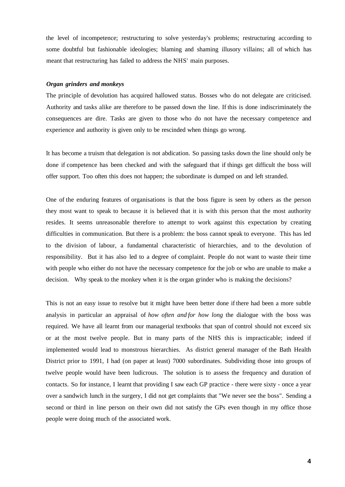the level of incompetence; restructuring to solve yesterday's problems; restructuring according to some doubtful but fashionable ideologies; blaming and shaming illusory villains; all of which has meant that restructuring has failed to address the NHS' main purposes.

### *Organ grinders and monkeys*

The principle of devolution has acquired hallowed status. Bosses who do not delegate are criticised. Authority and tasks alike are therefore to be passed down the line. If this is done indiscriminately the consequences are dire. Tasks are given to those who do not have the necessary competence and experience and authority is given only to be rescinded when things go wrong.

It has become a truism that delegation is not abdication. So passing tasks down the line should only be done if competence has been checked and with the safeguard that if things get difficult the boss will offer support. Too often this does not happen; the subordinate is dumped on and left stranded.

One of the enduring features of organisations is that the boss figure is seen by others as the person they most want to speak to because it is believed that it is with this person that the most authority resides. It seems unreasonable therefore to attempt to work against this expectation by creating difficulties in communication. But there is a problem: the boss cannot speak to everyone. This has led to the division of labour, a fundamental characteristic of hierarchies, and to the devolution of responsibility. But it has also led to a degree of complaint. People do not want to waste their time with people who either do not have the necessary competence for the job or who are unable to make a decision. Why speak to the monkey when it is the organ grinder who is making the decisions?

This is not an easy issue to resolve but it might have been better done if there had been a more subtle analysis in particular an appraisal of *how often and for how long* the dialogue with the boss was required. We have all learnt from our managerial textbooks that span of control should not exceed six or at the most twelve people. But in many parts of the NHS this is impracticable; indeed if implemented would lead to monstrous hierarchies. As district general manager of the Bath Health District prior to 1991, I had (on paper at least) 7000 subordinates. Subdividing those into groups of twelve people would have been ludicrous. The solution is to assess the frequency and duration of contacts. So for instance, I learnt that providing I saw each GP practice - there were sixty - once a year over a sandwich lunch in the surgery, I did not get complaints that "We never see the boss". Sending a second or third in line person on their own did not satisfy the GPs even though in my office those people were doing much of the associated work.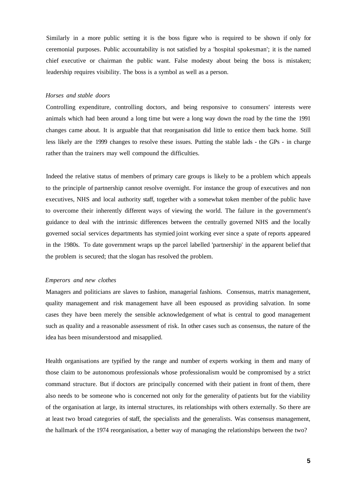Similarly in a more public setting it is the boss figure who is required to be shown if only for ceremonial purposes. Public accountability is not satisfied by a 'hospital spokesman'; it is the named chief executive or chairman the public want. False modesty about being the boss is mistaken; leadership requires visibility. The boss is a symbol as well as a person.

#### *Horses and stable doors*

Controlling expenditure, controlling doctors, and being responsive to consumers' interests were animals which had been around a long time but were a long way down the road by the time the 1991 changes came about. It is arguable that that reorganisation did little to entice them back home. Still less likely are the 1999 changes to resolve these issues. Putting the stable lads - the GPs - in charge rather than the trainers may well compound the difficulties.

Indeed the relative status of members of primary care groups is likely to be a problem which appeals to the principle of partnership cannot resolve overnight. For instance the group of executives and non executives, NHS and local authority staff, together with a somewhat token member of the public have to overcome their inherently different ways of viewing the world. The failure in the government's guidance to deal with the intrinsic differences between the centrally governed NHS and the locally governed social services departments has stymied joint working ever since a spate of reports appeared in the 1980s. To date government wraps up the parcel labelled 'partnership' in the apparent belief that the problem is secured; that the slogan has resolved the problem.

#### *Emperors and new clothes*

Managers and politicians are slaves to fashion, managerial fashions. Consensus, matrix management, quality management and risk management have all been espoused as providing salvation. In some cases they have been merely the sensible acknowledgement of what is central to good management such as quality and a reasonable assessment of risk. In other cases such as consensus, the nature of the idea has been misunderstood and misapplied.

Health organisations are typified by the range and number of experts working in them and many of those claim to be autonomous professionals whose professionalism would be compromised by a strict command structure. But if doctors are principally concerned with their patient in front of them, there also needs to be someone who is concerned not only for the generality of patients but for the viability of the organisation at large, its internal structures, its relationships with others externally. So there are at least two broad categories of staff, the specialists and the generalists. Was consensus management, the hallmark of the 1974 reorganisation, a better way of managing the relationships between the two?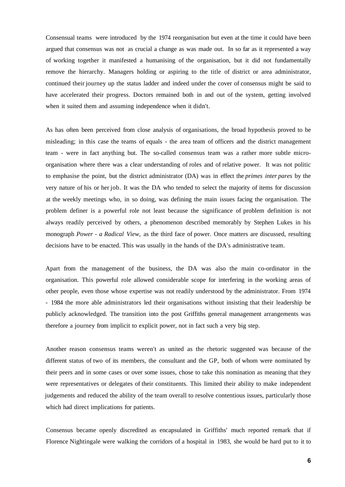Consensual teams were introduced by the 1974 reorganisation but even at the time it could have been argued that consensus was not as crucial a change as was made out. In so far as it represented a way of working together it manifested a humanising of the organisation, but it did not fundamentally remove the hierarchy. Managers holding or aspiring to the title of district or area administrator, continued their journey up the status ladder and indeed under the cover of consensus might be said to have accelerated their progress. Doctors remained both in and out of the system, getting involved when it suited them and assuming independence when it didn't.

As has often been perceived from close analysis of organisations, the broad hypothesis proved to be misleading; in this case the teams of equals - the area team of officers and the district management team - were in fact anything but. The so-called consensus team was a rather more subtle microorganisation where there was a clear understanding of roles and of relative power. It was not politic to emphasise the point, but the district administrator (DA) was in effect the *primes inter pares* by the very nature of his or her job. It was the DA who tended to select the majority of items for discussion at the weekly meetings who, in so doing, was defining the main issues facing the organisation. The problem definer is a powerful role not least because the significance of problem definition is not always readily perceived by others, a phenomenon described memorably by Stephen Lukes in his monograph *Power - a Radical View,* as the third face of power. Once matters are discussed, resulting decisions have to be enacted. This was usually in the hands of the DA's administrative team.

Apart from the management of the business, the DA was also the main co-ordinator in the organisation. This powerful role allowed considerable scope for interfering in the working areas of other people, even those whose expertise was not readily understood by the administrator. From 1974 - 1984 the more able administrators led their organisations without insisting that their leadership be publicly acknowledged. The transition into the post Griffiths general management arrangements was therefore a journey from implicit to explicit power, not in fact such a very big step.

Another reason consensus teams weren't as united as the rhetoric suggested was because of the different status of two of its members, the consultant and the GP, both of whom were nominated by their peers and in some cases or over some issues, chose to take this nomination as meaning that they were representatives or delegates of their constituents. This limited their ability to make independent judgements and reduced the ability of the team overall to resolve contentious issues, particularly those which had direct implications for patients.

Consensus became openly discredited as encapsulated in Griffiths' much reported remark that if Florence Nightingale were walking the corridors of a hospital in 1983, she would be hard put to it to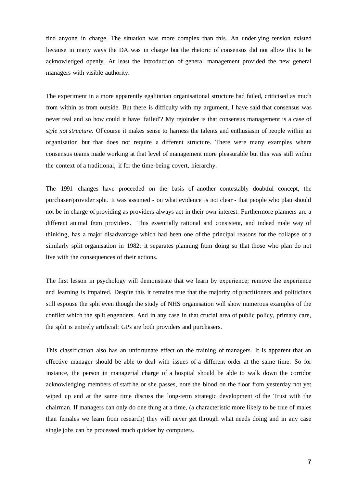find anyone in charge. The situation was more complex than this. An underlying tension existed because in many ways the DA was in charge but the rhetoric of consensus did not allow this to be acknowledged openly. At least the introduction of general management provided the new general managers with visible authority.

The experiment in a more apparently egalitarian organisational structure had failed, criticised as much from within as from outside. But there is difficulty with my argument. I have said that consensus was never real and so how could it have 'failed'? My rejoinder is that consensus management is a case of *style not structure.* Of course it makes sense to harness the talents and enthusiasm of people within an organisation but that does not require a different structure. There were many examples where consensus teams made working at that level of management more pleasurable but this was still within the context of a traditional, if for the time-being covert, hierarchy.

The 1991 changes have proceeded on the basis of another contestably doubtful concept, the purchaser/provider split. It was assumed - on what evidence is not clear - that people who plan should not be in charge of providing as providers always act in their own interest. Furthermore planners are a different animal from providers. This essentially rational and consistent, and indeed male way of thinking, has a major disadvantage which had been one of the principal reasons for the collapse of a similarly split organisation in 1982: it separates planning from doing so that those who plan do not live with the consequences of their actions.

The first lesson in psychology will demonstrate that we learn by experience; remove the experience and learning is impaired. Despite this it remains true that the majority of practitioners and politicians still espouse the split even though the study of NHS organisation will show numerous examples of the conflict which the split engenders. And in any case in that crucial area of public policy, primary care, the split is entirely artificial: GPs are both providers and purchasers.

This classification also has an unfortunate effect on the training of managers. It is apparent that an effective manager should be able to deal with issues of a different order at the same time. So for instance, the person in managerial charge of a hospital should be able to walk down the corridor acknowledging members of staff he or she passes, note the blood on the floor from yesterday not yet wiped up and at the same time discuss the long-term strategic development of the Trust with the chairman. If managers can only do one thing at a time, (a characteristic more likely to be true of males than females we learn from research) they will never get through what needs doing and in any case single jobs can be processed much quicker by computers.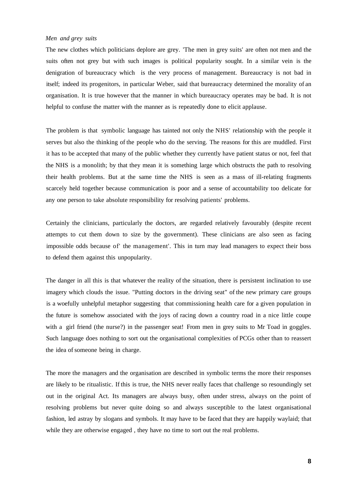# *Men and grey suits*

The new clothes which politicians deplore are grey. 'The men in grey suits' are often not men and the suits often not grey but with such images is political popularity sought. In a similar vein is the denigration of bureaucracy which is the very process of management. Bureaucracy is not bad in itself; indeed its progenitors, in particular Weber, said that bureaucracy determined the morality of an organisation. It is true however that the manner in which bureaucracy operates may be bad. It is not helpful to confuse the matter with the manner as is repeatedly done to elicit applause.

The problem is that symbolic language has tainted not only the NHS' relationship with the people it serves but also the thinking of the people who do the serving. The reasons for this are muddled. First it has to be accepted that many of the public whether they currently have patient status or not, feel that the NHS is a monolith; by that they mean it is something large which obstructs the path to resolving their health problems. But at the same time the NHS is seen as a mass of ill-relating fragments scarcely held together because communication is poor and a sense of accountability too delicate for any one person to take absolute responsibility for resolving patients' problems.

Certainly the clinicians, particularly the doctors, are regarded relatively favourably (despite recent attempts to cut them down to size by the government). These clinicians are also seen as facing impossible odds because of' the management'. This in turn may lead managers to expect their boss to defend them against this unpopularity.

The danger in all this is that whatever the reality of the situation, there is persistent inclination to use imagery which clouds the issue. "Putting doctors in the driving seat" of the new primary care groups is a woefully unhelpful metaphor suggesting that commissioning health care for a given population in the future is somehow associated with the joys of racing down a country road in a nice little coupe with a girl friend (the nurse?) in the passenger seat! From men in grey suits to Mr Toad in goggles. Such language does nothing to sort out the organisational complexities of PCGs other than to reassert the idea of someone being in charge.

The more the managers and the organisation are described in symbolic terms the more their responses are likely to be ritualistic. If this is true, the NHS never really faces that challenge so resoundingly set out in the original Act. Its managers are always busy, often under stress, always on the point of resolving problems but never quite doing so and always susceptible to the latest organisational fashion, led astray by slogans and symbols. It may have to be faced that they are happily waylaid; that while they are otherwise engaged, they have no time to sort out the real problems.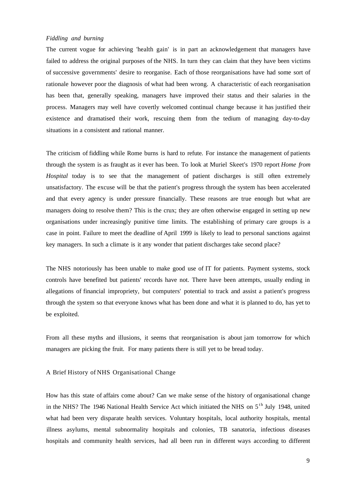# *Fiddling and burning*

The current vogue for achieving 'health gain' is in part an acknowledgement that managers have failed to address the original purposes of the NHS. In turn they can claim that they have been victims of successive governments' desire to reorganise. Each of those reorganisations have had some sort of rationale however poor the diagnosis of what had been wrong. A characteristic of each reorganisation has been that, generally speaking, managers have improved their status and their salaries in the process. Managers may well have covertly welcomed continual change because it has justified their existence and dramatised their work, rescuing them from the tedium of managing day-to-day situations in a consistent and rational manner.

The criticism of fiddling while Rome burns is hard to refute. For instance the management of patients through the system is as fraught as it ever has been. To look at Muriel Skeet's 1970 report *Home from Hospital* today is to see that the management of patient discharges is still often extremely unsatisfactory. The excuse will be that the patient's progress through the system has been accelerated and that every agency is under pressure financially. These reasons are true enough but what are managers doing to resolve them? This is the crux; they are often otherwise engaged in setting up new organisations under increasingly punitive time limits. The establishing of primary care groups is a case in point. Failure to meet the deadline of April 1999 is likely to lead to personal sanctions against key managers. In such a climate is it any wonder that patient discharges take second place?

The NHS notoriously has been unable to make good use of IT for patients. Payment systems, stock controls have benefited but patients' records have not. There have been attempts, usually ending in allegations of financial impropriety, but computers' potential to track and assist a patient's progress through the system so that everyone knows what has been done and what it is planned to do, has yet to be exploited.

From all these myths and illusions, it seems that reorganisation is about jam tomorrow for which managers are picking the fruit. For many patients there is still yet to be bread today.

# A Brief History of NHS Organisational Change

How has this state of affairs come about? Can we make sense of the history of organisational change in the NHS? The 1946 National Health Service Act which initiated the NHS on  $5<sup>th</sup>$  July 1948, united what had been very disparate health services. Voluntary hospitals, local authority hospitals, mental illness asylums, mental subnormality hospitals and colonies, TB sanatoria, infectious diseases hospitals and community health services, had all been run in different ways according to different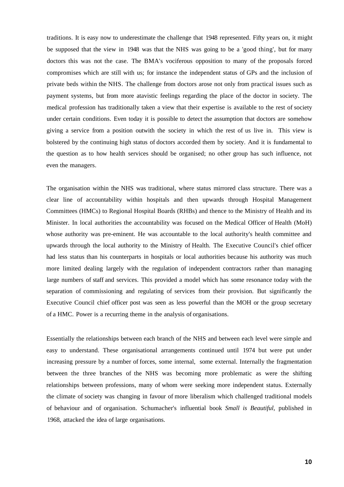traditions. It is easy now to underestimate the challenge that 1948 represented. Fifty years on, it might be supposed that the view in 1948 was that the NHS was going to be a 'good thing', but for many doctors this was not the case. The BMA's vociferous opposition to many of the proposals forced compromises which are still with us; for instance the independent status of GPs and the inclusion of private beds within the NHS. The challenge from doctors arose not only from practical issues such as payment systems, but from more atavistic feelings regarding the place of the doctor in society. The medical profession has traditionally taken a view that their expertise is available to the rest of society under certain conditions. Even today it is possible to detect the assumption that doctors are somehow giving a service from a position outwith the society in which the rest of us live in. This view is bolstered by the continuing high status of doctors accorded them by society. And it is fundamental to the question as to how health services should be organised; no other group has such influence, not even the managers.

The organisation within the NHS was traditional, where status mirrored class structure. There was a clear line of accountability within hospitals and then upwards through Hospital Management Committees (HMCs) to Regional Hospital Boards (RHBs) and thence to the Ministry of Health and its Minister. In local authorities the accountability was focused on the Medical Officer of Health (MoH) whose authority was pre-eminent. He was accountable to the local authority's health committee and upwards through the local authority to the Ministry of Health. The Executive Council's chief officer had less status than his counterparts in hospitals or local authorities because his authority was much more limited dealing largely with the regulation of independent contractors rather than managing large numbers of staff and services. This provided a model which has some resonance today with the separation of commissioning and regulating of services from their provision. But significantly the Executive Council chief officer post was seen as less powerful than the MOH or the group secretary of a HMC. Power is a recurring theme in the analysis of organisations.

Essentially the relationships between each branch of the NHS and between each level were simple and easy to understand. These organisational arrangements continued until 1974 but were put under increasing pressure by a number of forces, some internal, some external. Internally the fragmentation between the three branches of the NHS was becoming more problematic as were the shifting relationships between professions, many of whom were seeking more independent status. Externally the climate of society was changing in favour of more liberalism which challenged traditional models of behaviour and of organisation. Schumacher's influential book *Small is Beautiful,* published in 1968, attacked the idea of large organisations.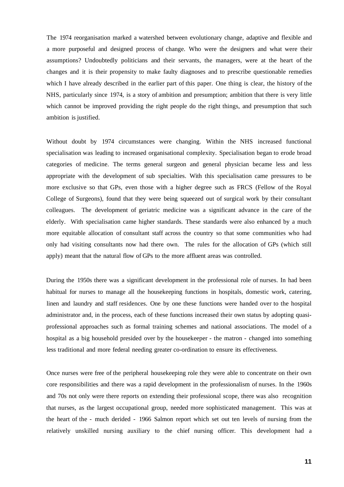The 1974 reorganisation marked a watershed between evolutionary change, adaptive and flexible and a more purposeful and designed process of change. Who were the designers and what were their assumptions? Undoubtedly politicians and their servants, the managers, were at the heart of the changes and it is their propensity to make faulty diagnoses and to prescribe questionable remedies which I have already described in the earlier part of this paper. One thing is clear, the history of the NHS, particularly since 1974, is a story of ambition and presumption; ambition that there is very little which cannot be improved providing the right people do the right things, and presumption that such ambition is justified.

Without doubt by 1974 circumstances were changing. Within the NHS increased functional specialisation was leading to increased organisational complexity. Specialisation began to erode broad categories of medicine. The terms general surgeon and general physician became less and less appropriate with the development of sub specialties. With this specialisation came pressures to be more exclusive so that GPs, even those with a higher degree such as FRCS (Fellow of the Royal College of Surgeons), found that they were being squeezed out of surgical work by their consultant colleagues. The development of geriatric medicine was a significant advance in the care of the elderly. With specialisation came higher standards. These standards were also enhanced by a much more equitable allocation of consultant staff across the country so that some communities who had only had visiting consultants now had there own. The rules for the allocation of GPs (which still apply) meant that the natural flow of GPs to the more affluent areas was controlled.

During the 1950s there was a significant development in the professional role of nurses. In had been habitual for nurses to manage all the housekeeping functions in hospitals, domestic work, catering, linen and laundry and staff residences. One by one these functions were handed over to the hospital administrator and, in the process, each of these functions increased their own status by adopting quasiprofessional approaches such as formal training schemes and national associations. The model of a hospital as a big household presided over by the housekeeper - the matron - changed into something less traditional and more federal needing greater co-ordination to ensure its effectiveness.

Once nurses were free of the peripheral housekeeping role they were able to concentrate on their own core responsibilities and there was a rapid development in the professionalism of nurses. In the 1960s and 70s not only were there reports on extending their professional scope, there was also recognition that nurses, as the largest occupational group, needed more sophisticated management. This was at the heart of the - much derided - 1966 Salmon report which set out ten levels of nursing from the relatively unskilled nursing auxiliary to the chief nursing officer. This development had a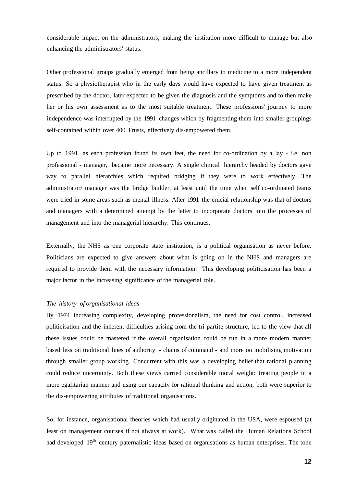considerable impact on the administrators, making the institution more difficult to manage but also enhancing the administrators' status.

Other professional groups gradually emerged from being ancillary to medicine to a more independent status. So a physiotherapist who in the early days would have expected to have given treatment as prescribed by the doctor, later expected to be given the diagnosis and the symptoms and to then make her or his own assessment as to the most suitable treatment. These professions' journey to more independence was interrupted by the 1991 changes which by fragmenting them into smaller groupings self-contained within over 400 Trusts, effectively dis-empowered them.

Up to 1991, as each profession found its own feet, the need for co-ordination by a lay - i.e. non professional - manager, became more necessary. A single clinical hierarchy headed by doctors gave way to parallel hierarchies which required bridging if they were to work effectively. The administrator/ manager was the bridge builder, at least until the time when self co-ordinated teams were tried in some areas such as mental illness. After 1991 the crucial relationship was that of doctors and managers with a determined attempt by the latter to incorporate doctors into the processes of management and into the managerial hierarchy. This continues.

Externally, the NHS as one corporate state institution, is a political organisation as never before. Politicians are expected to give answers about what is going on in the NHS and managers are required to provide them with the necessary information. This developing politicisation has been a major factor in the increasing significance of the managerial role.

# *The history of organisational ideas*

By 1974 increasing complexity, developing professionalism, the need for cost control, increased politicisation and the inherent difficulties arising from the tri-partite structure, led to the view that all these issues could be mastered if the overall organisation could be run in a more modern manner based less on traditional lines of authority - chains of command - and more on mobilising motivation through smaller group working. Concurrent with this was a developing belief that rational planning could reduce uncertainty. Both these views carried considerable moral weight: treating people in a more egalitarian manner and using our capacity for rational thinking and action, both were superior to the dis-empowering attributes of traditional organisations.

So, for instance, organisational theories which had usually originated in the USA, were espoused (at least on management courses if not always at work). What was called the Human Relations School had developed 19<sup>th</sup> century paternalistic ideas based on organisations as human enterprises. The tone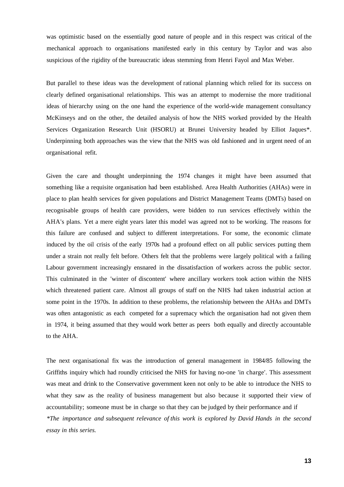was optimistic based on the essentially good nature of people and in this respect was critical of the mechanical approach to organisations manifested early in this century by Taylor and was also suspicious of the rigidity of the bureaucratic ideas stemming from Henri Fayol and Max Weber.

But parallel to these ideas was the development of rational planning which relied for its success on clearly defined organisational relationships. This was an attempt to modernise the more traditional ideas of hierarchy using on the one hand the experience of the world-wide management consultancy McKinseys and on the other, the detailed analysis of how the NHS worked provided by the Health Services Organization Research Unit (HSORU) at Brunei University headed by Elliot Jaques\*. Underpinning both approaches was the view that the NHS was old fashioned and in urgent need of an organisational refit.

Given the care and thought underpinning the 1974 changes it might have been assumed that something like a requisite organisation had been established. Area Health Authorities (AHAs) were in place to plan health services for given populations and District Management Teams (DMTs) based on recognisable groups of health care providers, were bidden to run services effectively within the AHA's plans. Yet a mere eight years later this model was agreed not to be working. The reasons for this failure are confused and subject to different interpretations. For some, the economic climate induced by the oil crisis of the early 1970s had a profound effect on all public services putting them under a strain not really felt before. Others felt that the problems were largely political with a failing Labour government increasingly ensnared in the dissatisfaction of workers across the public sector. This culminated in the 'winter of discontent' where ancillary workers took action within the NHS which threatened patient care. Almost all groups of staff on the NHS had taken industrial action at some point in the 1970s. In addition to these problems, the relationship between the AHAs and DMTs was often antagonistic as each competed for a supremacy which the organisation had not given them in 1974, it being assumed that they would work better as peers both equally and directly accountable to the AHA.

The next organisational fix was the introduction of general management in 1984/85 following the Griffiths inquiry which had roundly criticised the NHS for having no-one 'in charge'. This assessment was meat and drink to the Conservative government keen not only to be able to introduce the NHS to what they saw as the reality of business management but also because it supported their view of accountability; someone must be in charge so that they can be judged by their performance and if *\*The importance and subsequent relevance of this work is explored by David Hands in the second essay in this series.*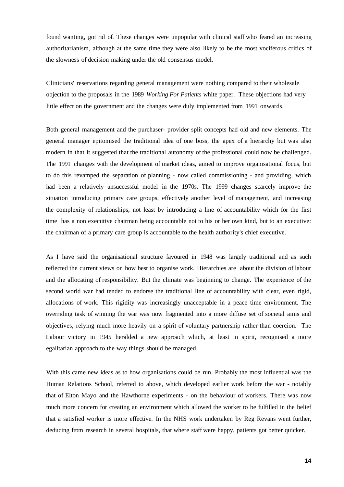found wanting, got rid of. These changes were unpopular with clinical staff who feared an increasing authoritarianism, although at the same time they were also likely to be the most vociferous critics of the slowness of decision making under the old consensus model.

Clinicians' reservations regarding general management were nothing compared to their wholesale objection to the proposals in the 1989 *Working For Patients* white paper. These objections had very little effect on the government and the changes were duly implemented from 1991 onwards.

Both general management and the purchaser- provider split concepts had old and new elements. The general manager epitomised the traditional idea of one boss, the apex of a hierarchy but was also modern in that it suggested that the traditional autonomy of the professional could now be challenged. The 1991 changes with the development of market ideas, aimed to improve organisational focus, but to do this revamped the separation of planning - now called commissioning - and providing, which had been a relatively unsuccessful model in the 1970s. The 1999 changes scarcely improve the situation introducing primary care groups, effectively another level of management, and increasing the complexity of relationships, not least by introducing a line of accountability which for the first time has a non executive chairman being accountable not to his or her own kind, but to an executive: the chairman of a primary care group is accountable to the health authority's chief executive.

As I have said the organisational structure favoured in 1948 was largely traditional and as such reflected the current views on how best to organise work. Hierarchies are about the division of labour and the allocating of responsibility. But the climate was beginning to change. The experience of the second world war had tended to endorse the traditional line of accountability with clear, even rigid, allocations of work. This rigidity was increasingly unacceptable in a peace time environment. The overriding task of winning the war was now fragmented into a more diffuse set of societal aims and objectives, relying much more heavily on a spirit of voluntary partnership rather than coercion. The Labour victory in 1945 heralded a new approach which, at least in spirit, recognised a more egalitarian approach to the way things should be managed.

With this came new ideas as to how organisations could be run. Probably the most influential was the Human Relations School, referred to above, which developed earlier work before the war - notably that of Elton Mayo and the Hawthorne experiments - on the behaviour of workers. There was now much more concern for creating an environment which allowed the worker to be fulfilled in the belief that a satisfied worker is more effective. In the NHS work undertaken by Reg Revans went further, deducing from research in several hospitals, that where staff were happy, patients got better quicker.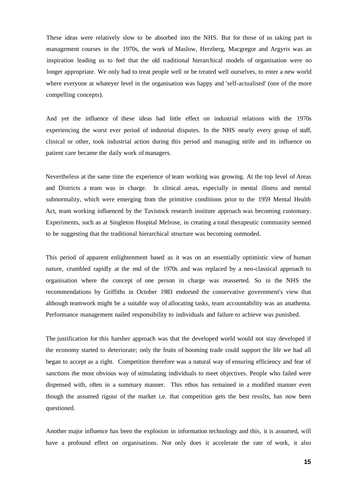These ideas were relatively slow to be absorbed into the NHS. But for those of us taking part in management courses in the 1970s, the work of Maslow, Herzberg, Macgregor and Argyris was an inspiration leading us to feel that the old traditional hierarchical models of organisation were no longer appropriate. We only had to treat people well or be treated well ourselves, to enter a new world where everyone at whateyer level in the organisation was happy and 'self-actualised' (one of the more compelling concepts).

And yet the influence of these ideas had little effect on industrial relations with the 1970s experiencing the worst ever period of industrial disputes. In the NHS nearly every group of staff, clinical or other, took industrial action during this period and managing strife and its influence on patient care became the daily work of managers.

Nevertheless at the same time the experience of team working was growing. At the top level of Areas and Districts a team was in charge. In clinical areas, especially in mental illness and mental subnormality, which were emerging from the primitive conditions prior to the 1959 Mental Health Act, team working influenced by the Tavistock research institute approach was becoming customary. Experiments, such as at Singleton Hospital Melrose, in creating a total therapeutic community seemed to be suggesting that the traditional hierarchical structure was becoming outmoded.

This period of apparent enlightenment based as it was on an essentially optimistic view of human nature, crumbled rapidly at the end of the 1970s and was replaced by a neo-classical approach to organisation where the concept of one person in charge was reasserted. So in the NHS the recommendations by Griffiths in October 1983 endorsed the conservative government's view that although teamwork might be a suitable way of allocating tasks, team accountability was an anathema. Performance management nailed responsibility to individuals and failure to achieve was punished.

The justification for this harsher approach was that the developed world would not stay developed if the economy started to deteriorate; only the fruits of booming trade could support the life we had all began to accept as a right. Competition therefore was a natural way of ensuring efficiency and fear of sanctions the most obvious way of stimulating individuals to meet objectives. People who failed were dispensed with, often in a summary manner. This ethos has remained in a modified manner even though the assumed rigour of the market i.e. that competition gets the best results, has now been questioned.

Another major influence has been the explosion in information technology and this, it is assumed, will have a profound effect on organisations. Not only does it accelerate the rate of work, it also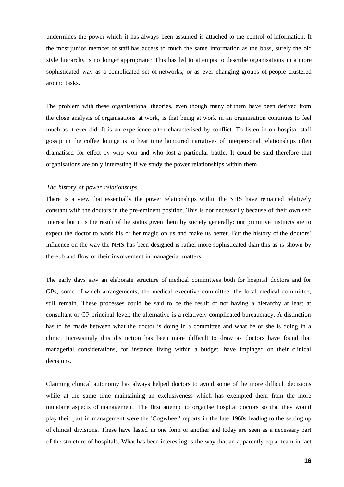undermines the power which it has always been assumed is attached to the control of information. If the most junior member of staff has access to much the same information as the boss, surely the old style hierarchy is no longer appropriate? This has led to attempts to describe organisations in a more sophisticated way as a complicated set of networks, or as ever changing groups of people clustered around tasks.

The problem with these organisational theories, even though many of them have been derived from the close analysis of organisations at work, is that being at work in an organisation continues to feel much as it ever did. It is an experience often characterised by conflict. To listen in on hospital staff gossip in the coffee lounge is to hear time honoured narratives of interpersonal relationships often dramatised for effect by who won and who lost a particular battle. It could be said therefore that organisations are only interesting if we study the power relationships within them.

# *The history of power relationships*

There is a view that essentially the power relationships within the NHS have remained relatively constant with the doctors in the pre-eminent position. This is not necessarily because of their own self interest but it is the result of the status given them by society generally: our primitive instincts are to expect the doctor to work his or her magic on us and make us better. But the history of the doctors' influence on the way the NHS has been designed is rather more sophisticated than this as is shown by the ebb and flow of their involvement in managerial matters.

The early days saw an elaborate structure of medical committees both for hospital doctors and for GPs, some of which arrangements, the medical executive committee, the local medical committee, still remain. These processes could be said to be the result of not having a hierarchy at least at consultant or GP principal level; the alternative is a relatively complicated bureaucracy. A distinction has to be made between what the doctor is doing in a committee and what he or she is doing in a clinic. Increasingly this distinction has been more difficult to draw as doctors have found that managerial considerations, for instance living within a budget, have impinged on their clinical decisions.

Claiming clinical autonomy has always helped doctors to avoid some of the more difficult decisions while at the same time maintaining an exclusiveness which has exempted them from the more mundane aspects of management. The first attempt to organise hospital doctors so that they would play their part in management were the 'Cogwheel' reports in the late 1960s leading to the setting up of clinical divisions. These have lasted in one form or another and today are seen as a necessary part of the structure of hospitals. What has been interesting is the way that an apparently equal team in fact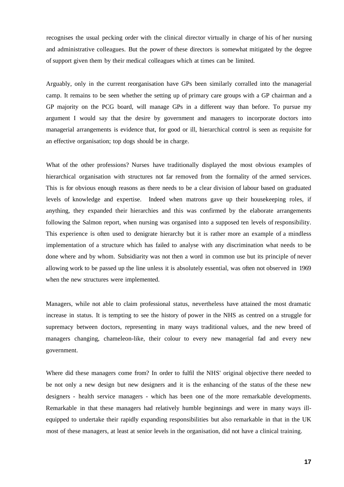recognises the usual pecking order with the clinical director virtually in charge of his of her nursing and administrative colleagues. But the power of these directors is somewhat mitigated by the degree of support given them by their medical colleagues which at times can be limited.

Arguably, only in the current reorganisation have GPs been similarly corralled into the managerial camp. It remains to be seen whether the setting up of primary care groups with a GP chairman and a GP majority on the PCG board, will manage GPs in a different way than before. To pursue my argument I would say that the desire by government and managers to incorporate doctors into managerial arrangements is evidence that, for good or ill, hierarchical control is seen as requisite for an effective organisation; top dogs should be in charge.

What of the other professions? Nurses have traditionally displayed the most obvious examples of hierarchical organisation with structures not far removed from the formality of the armed services. This is for obvious enough reasons as there needs to be a clear division of labour based on graduated levels of knowledge and expertise. Indeed when matrons gave up their housekeeping roles, if anything, they expanded their hierarchies and this was confirmed by the elaborate arrangements following the Salmon report, when nursing was organised into a supposed ten levels of responsibility. This experience is often used to denigrate hierarchy but it is rather more an example of a mindless implementation of a structure which has failed to analyse with any discrimination what needs to be done where and by whom. Subsidiarity was not then a word in common use but its principle of never allowing work to be passed up the line unless it is absolutely essential, was often not observed in 1969 when the new structures were implemented.

Managers, while not able to claim professional status, nevertheless have attained the most dramatic increase in status. It is tempting to see the history of power in the NHS as centred on a struggle for supremacy between doctors, representing in many ways traditional values, and the new breed of managers changing, chameleon-like, their colour to every new managerial fad and every new government.

Where did these managers come from? In order to fulfil the NHS' original objective there needed to be not only a new design but new designers and it is the enhancing of the status of the these new designers - health service managers - which has been one of the more remarkable developments. Remarkable in that these managers had relatively humble beginnings and were in many ways illequipped to undertake their rapidly expanding responsibilities but also remarkable in that in the UK most of these managers, at least at senior levels in the organisation, did not have a clinical training.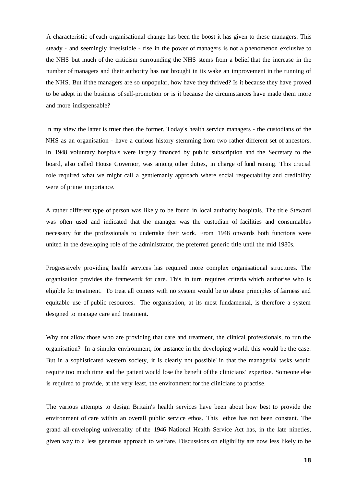A characteristic of each organisational change has been the boost it has given to these managers. This steady - and seemingly irresistible - rise in the power of managers is not a phenomenon exclusive to the NHS but much of the criticism surrounding the NHS stems from a belief that the increase in the number of managers and their authority has not brought in its wake an improvement in the running of the NHS. But if the managers are so unpopular, how have they thrived? Is it because they have proved to be adept in the business of self-promotion or is it because the circumstances have made them more and more indispensable?

In my view the latter is truer then the former. Today's health service managers - the custodians of the NHS as an organisation - have a curious history stemming from two rather different set of ancestors. In 1948 voluntary hospitals were largely financed by public subscription and the Secretary to the board, also called House Governor, was among other duties, in charge of fund raising. This crucial role required what we might call a gentlemanly approach where social respectability and credibility were of prime importance.

A rather different type of person was likely to be found in local authority hospitals. The title Steward was often used and indicated that the manager was the custodian of facilities and consumables necessary for the professionals to undertake their work. From 1948 onwards both functions were united in the developing role of the administrator, the preferred generic title until the mid 1980s.

Progressively providing health services has required more complex organisational structures. The organisation provides the framework for care. This in turn requires criteria which authorise who is eligible for treatment. To treat all comers with no system would be to abuse principles of fairness and equitable use of public resources. The organisation, at its most fundamental, is therefore a system designed to manage care and treatment.

Why not allow those who are providing that care and treatment, the clinical professionals, to run the organisation? In a simpler environment, for instance in the developing world, this would be the case. But in a sophisticated western society, it is clearly not possible' in that the managerial tasks would require too much time and the patient would lose the benefit of the clinicians' expertise. Someone else is required to provide, at the very least, the environment for the clinicians to practise.

The various attempts to design Britain's health services have been about how best to provide the environment of care within an overall public service ethos. This ethos has not been constant. The grand all-enveloping universality of the 1946 National Health Service Act has, in the late nineties, given way to a less generous approach to welfare. Discussions on eligibility are now less likely to be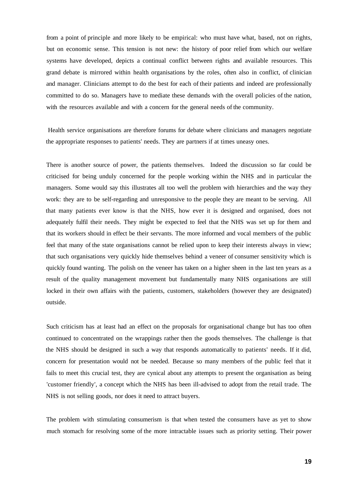from a point of principle and more likely to be empirical: who must have what, based, not on rights, but on economic sense. This tension is not new: the history of poor relief from which our welfare systems have developed, depicts a continual conflict between rights and available resources. This grand debate is mirrored within health organisations by the roles, often also in conflict, of clinician and manager. Clinicians attempt to do the best for each of their patients and indeed are professionally committed to do so. Managers have to mediate these demands with the overall policies of the nation, with the resources available and with a concern for the general needs of the community.

Health service organisations are therefore forums for debate where clinicians and managers negotiate the appropriate responses to patients' needs. They are partners if at times uneasy ones.

There is another source of power, the patients themselves. Indeed the discussion so far could be criticised for being unduly concerned for the people working within the NHS and in particular the managers. Some would say this illustrates all too well the problem with hierarchies and the way they work: they are to be self-regarding and unresponsive to the people they are meant to be serving. All that many patients ever know is that the NHS, how ever it is designed and organised, does not adequately fulfil their needs. They might be expected to feel that the NHS was set up for them and that its workers should in effect be their servants. The more informed and vocal members of the public feel that many of the state organisations cannot be relied upon to keep their interests always in view; that such organisations very quickly hide themselves behind a veneer of consumer sensitivity which is quickly found wanting. The polish on the veneer has taken on a higher sheen in the last ten years as a result of the quality management movement but fundamentally many NHS organisations are still locked in their own affairs with the patients, customers, stakeholders (however they are designated) outside.

Such criticism has at least had an effect on the proposals for organisational change but has too often continued to concentrated on the wrappings rather then the goods themselves. The challenge is that the NHS should be designed in such a way that responds automatically to patients' needs. If it did, concern for presentation would not be needed. Because so many members of the public feel that it fails to meet this crucial test, they are cynical about any attempts to present the organisation as being 'customer friendly', a concept which the NHS has been ill-advised to adopt from the retail trade. The NHS is not selling goods, nor does it need to attract buyers.

The problem with stimulating consumerism is that when tested the consumers have as yet to show much stomach for resolving some of the more intractable issues such as priority setting. Their power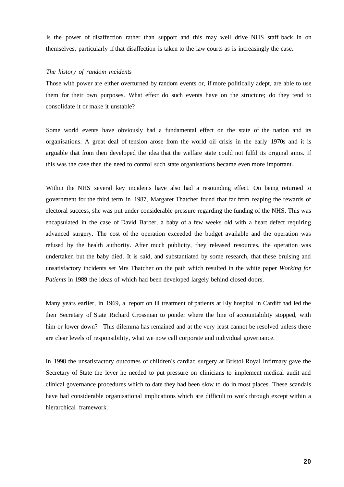is the power of disaffection rather than support and this may well drive NHS staff back in on themselves, particularly if that disaffection is taken to the law courts as is increasingly the case.

### *The history of random incidents*

Those with power are either overturned by random events or, if more politically adept, are able to use them for their own purposes. What effect do such events have on the structure; do they tend to consolidate it or make it unstable?

Some world events have obviously had a fundamental effect on the state of the nation and its organisations. A great deal of tension arose from the world oil crisis in the early 1970s and it is arguable that from then developed the idea that the welfare state could not fulfil its original aims. If this was the case then the need to control such state organisations became even more important.

Within the NHS several key incidents have also had a resounding effect. On being returned to government for the third term in 1987, Margaret Thatcher found that far from reaping the rewards of electoral success, she was put under considerable pressure regarding the funding of the NHS. This was encapsulated in the case of David Barber, a baby of a few weeks old with a heart defect requiring advanced surgery. The cost of the operation exceeded the budget available and the operation was refused by the health authority. After much publicity, they released resources, the operation was undertaken but the baby died. It is said, and substantiated by some research, that these bruising and unsatisfactory incidents set Mrs Thatcher on the path which resulted in the white paper *Working for Patients* in 1989 the ideas of which had been developed largely behind closed doors.

Many years earlier, in 1969, a report on ill treatment of patients at Ely hospital in Cardiff had led the then Secretary of State Richard Crossman to ponder where the line of accountability stopped, with him or lower down? This dilemma has remained and at the very least cannot be resolved unless there are clear levels of responsibility, what we now call corporate and individual governance.

In 1998 the unsatisfactory outcomes of children's cardiac surgery at Bristol Royal Infirmary gave the Secretary of State the lever he needed to put pressure on clinicians to implement medical audit and clinical governance procedures which to date they had been slow to do in most places. These scandals have had considerable organisational implications which are difficult to work through except within a hierarchical framework.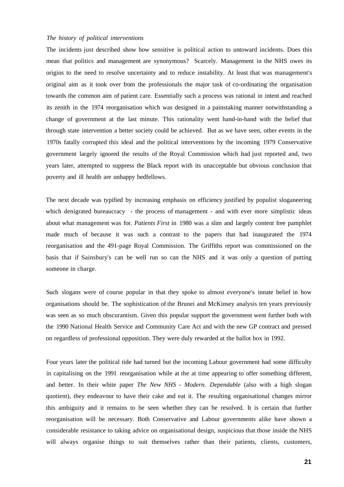# *The history of political interventions*

The incidents just described show how sensitive is political action to untoward incidents. Does this mean that politics and management are synonymous? Scarcely. Management in the NHS owes its origins to the need to resolve uncertainty and to reduce instability. At least that was management's original aim as it took over from the professionals the major task of co-ordinating the organisation towards the common aim of patient care. Essentially such a process was rational in intent and reached its zenith in the 1974 reorganisation which was designed in a painstaking manner notwithstanding a change of government at the last minute. This rationality went hand-in-hand with the belief that through state intervention a better society could be achieved. But as we have seen, other events in the 1970s fatally corrupted this ideal and the political interventions by the incoming 1979 Conservative government largely ignored the results of the Royal Commission which had just reported and, two years later, attempted to suppress the Black report with its unacceptable but obvious conclusion that poverty and ill health are unhappy bedfellows.

The next decade was typified by increasing emphasis on efficiency justified by populist sloganeering which denigrated bureaucracy - the process of management - and with ever more simplistic ideas about what management was for. *Patients First* in 1980 was a slim and largely content free pamphlet made much of because it was such a contrast to the papers that had inaugurated the 1974 reorganisation and the 491-page Royal Commission. The Griffiths report was commissioned on the basis that if Sainsbury's can be well run so can the NHS and it was only a question of putting someone in charge.

Such slogans were of course popular in that they spoke to almost everyone's innate belief in how organisations should be. The sophistication of the Brunei and McKinsey analysis ten years previously was seen as so much obscurantism. Given this popular support the government went further both with the 1990 National Health Service and Community Care Act and with the new GP contract and pressed on regardless of professional opposition. They were duly rewarded at the ballot box in 1992.

Four years later the political tide had turned but the incoming Labour government had some difficulty in capitalising on the 1991 reorganisation while at the at time appearing to offer something different, and better. In their white paper *The New NHS - Modern. Dependable* (also with a high slogan quotient), they endeavour to have their cake and eat it. The resulting organisational changes mirror this ambiguity and it remains to be seen whether they can be resolved. It is certain that further reorganisation will be necessary. Both Conservative and Labour governments alike have shown a considerable resistance to taking advice on organisational design, suspicious that those inside the NHS will always organise things to suit themselves rather than their patients, clients, customers,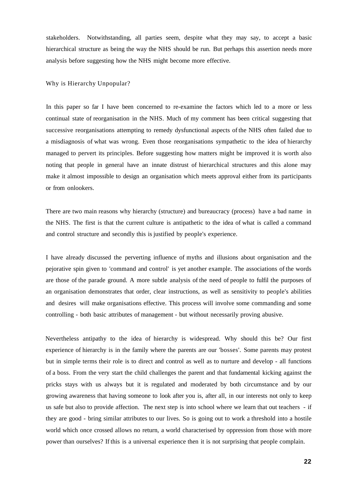stakeholders. Notwithstanding, all parties seem, despite what they may say, to accept a basic hierarchical structure as being the way the NHS should be run. But perhaps this assertion needs more analysis before suggesting how the NHS might become more effective.

# Why is Hierarchy Unpopular?

In this paper so far I have been concerned to re-examine the factors which led to a more or less continual state of reorganisation in the NHS. Much of my comment has been critical suggesting that successive reorganisations attempting to remedy dysfunctional aspects of the NHS often failed due to a misdiagnosis of what was wrong. Even those reorganisations sympathetic to the idea of hierarchy managed to pervert its principles. Before suggesting how matters might be improved it is worth also noting that people in general have an innate distrust of hierarchical structures and this alone may make it almost impossible to design an organisation which meets approval either from its participants or from onlookers.

There are two main reasons why hierarchy (structure) and bureaucracy (process) have a bad name in the NHS. The first is that the current culture is antipathetic to the idea of what is called a command and control structure and secondly this is justified by people's experience.

I have already discussed the perverting influence of myths and illusions about organisation and the pejorative spin given to 'command and control' is yet another example. The associations of the words are those of the parade ground. A more subtle analysis of the need of people to fulfil the purposes of an organisation demonstrates that order, clear instructions, as well as sensitivity to people's abilities and desires will make organisations effective. This process will involve some commanding and some controlling - both basic attributes of management - but without necessarily proving abusive.

Nevertheless antipathy to the idea of hierarchy is widespread. Why should this be? Our first experience of hierarchy is in the family where the parents are our 'bosses'. Some parents may protest but in simple terms their role is to direct and control as well as to nurture and develop - all functions of a boss. From the very start the child challenges the parent and that fundamental kicking against the pricks stays with us always but it is regulated and moderated by both circumstance and by our growing awareness that having someone to look after you is, after all, in our interests not only to keep us safe but also to provide affection. The next step is into school where we learn that out teachers - if they are good - bring similar attributes to our lives. So is going out to work a threshold into a hostile world which once crossed allows no return, a world characterised by oppression from those with more power than ourselves? If this is a universal experience then it is not surprising that people complain.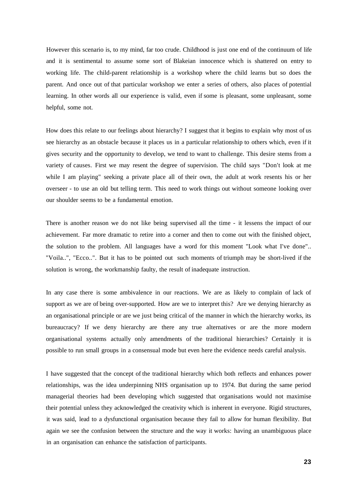However this scenario is, to my mind, far too crude. Childhood is just one end of the continuum of life and it is sentimental to assume some sort of Blakeian innocence which is shattered on entry to working life. The child-parent relationship is a workshop where the child learns but so does the parent. And once out of that particular workshop we enter a series of others, also places of potential learning. In other words all our experience is valid, even if some is pleasant, some unpleasant, some helpful, some not.

How does this relate to our feelings about hierarchy? I suggest that it begins to explain why most of us see hierarchy as an obstacle because it places us in a particular relationship to others which, even if it gives security and the opportunity to develop, we tend to want to challenge. This desire stems from a variety of causes. First we may resent the degree of supervision. The child says "Don't look at me while I am playing" seeking a private place all of their own, the adult at work resents his or her overseer - to use an old but telling term. This need to work things out without someone looking over our shoulder seems to be a fundamental emotion.

There is another reason we do not like being supervised all the time - it lessens the impact of our achievement. Far more dramatic to retire into a corner and then to come out with the finished object, the solution to the problem. All languages have a word for this moment "Look what I've done".. "Voila..", "Ecco..". But it has to be pointed out such moments of triumph may be short-lived if the solution is wrong, the workmanship faulty, the result of inadequate instruction.

In any case there is some ambivalence in our reactions. We are as likely to complain of lack of support as we are of being over-supported. How are we to interpret this? Are we denying hierarchy as an organisational principle or are we just being critical of the manner in which the hierarchy works, its bureaucracy? If we deny hierarchy are there any true alternatives or are the more modern organisational systems actually only amendments of the traditional hierarchies? Certainly it is possible to run small groups in a consensual mode but even here the evidence needs careful analysis.

I have suggested that the concept of the traditional hierarchy which both reflects and enhances power relationships, was the idea underpinning NHS organisation up to 1974. But during the same period managerial theories had been developing which suggested that organisations would not maximise their potential unless they acknowledged the creativity which is inherent in everyone. Rigid structures, it was said, lead to a dysfunctional organisation because they fail to allow for human flexibility. But again we see the confusion between the structure and the way it works: having an unambiguous place in an organisation can enhance the satisfaction of participants.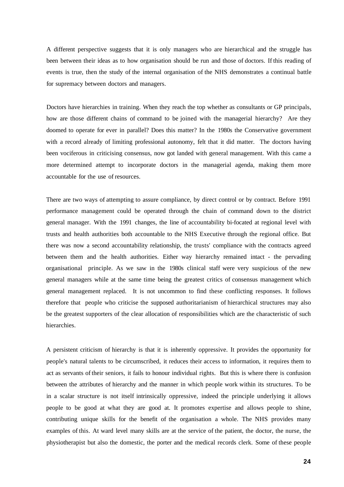A different perspective suggests that it is only managers who are hierarchical and the struggle has been between their ideas as to how organisation should be run and those of doctors. If this reading of events is true, then the study of the internal organisation of the NHS demonstrates a continual battle for supremacy between doctors and managers.

Doctors have hierarchies in training. When they reach the top whether as consultants or GP principals, how are those different chains of command to be joined with the managerial hierarchy? Are they doomed to operate for ever in parallel? Does this matter? In the 1980s the Conservative government with a record already of limiting professional autonomy, felt that it did matter. The doctors having been vociferous in criticising consensus, now got landed with general management. With this came a more determined attempt to incorporate doctors in the managerial agenda, making them more accountable for the use of resources.

There are two ways of attempting to assure compliance, by direct control or by contract. Before 1991 performance management could be operated through the chain of command down to the district general manager. With the 1991 changes, the line of accountability bi-focated at regional level with trusts and health authorities both accountable to the NHS Executive through the regional office. But there was now a second accountability relationship, the trusts' compliance with the contracts agreed between them and the health authorities. Either way hierarchy remained intact - the pervading organisational principle. As we saw in the 1980s clinical staff were very suspicious of the new general managers while at the same time being the greatest critics of consensus management which general management replaced. It is not uncommon to find these conflicting responses. It follows therefore that people who criticise the supposed authoritarianism of hierarchical structures may also be the greatest supporters of the clear allocation of responsibilities which are the characteristic of such hierarchies.

A persistent criticism of hierarchy is that it is inherently oppressive. It provides the opportunity for people's natural talents to be circumscribed, it reduces their access to information, it requires them to act as servants of their seniors, it fails to honour individual rights. But this is where there is confusion between the attributes of hierarchy and the manner in which people work within its structures. To be in a scalar structure is not itself intrinsically oppressive, indeed the principle underlying it allows people to be good at what they are good at. It promotes expertise and allows people to shine, contributing unique skills for the benefit of the organisation a whole. The NHS provides many examples of this. At ward level many skills are at the service of the patient, the doctor, the nurse, the physiotherapist but also the domestic, the porter and the medical records clerk. Some of these people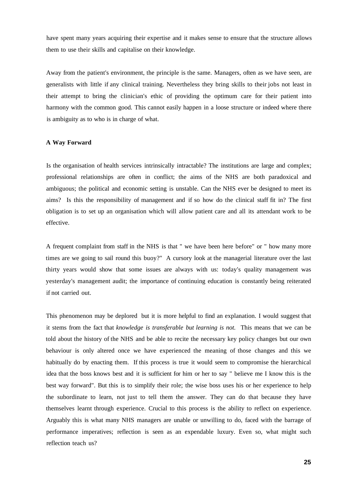have spent many years acquiring their expertise and it makes sense to ensure that the structure allows them to use their skills and capitalise on their knowledge.

Away from the patient's environment, the principle is the same. Managers, often as we have seen, are generalists with little if any clinical training. Nevertheless they bring skills to their jobs not least in their attempt to bring the clinician's ethic of providing the optimum care for their patient into harmony with the common good. This cannot easily happen in a loose structure or indeed where there is ambiguity as to who is in charge of what.

# **A Way Forward**

Is the organisation of health services intrinsically intractable? The institutions are large and complex; professional relationships are often in conflict; the aims of the NHS are both paradoxical and ambiguous; the political and economic setting is unstable. Can the NHS ever be designed to meet its aims? Is this the responsibility of management and if so how do the clinical staff fit in? The first obligation is to set up an organisation which will allow patient care and all its attendant work to be effective.

A frequent complaint from staff in the NHS is that " we have been here before" or " how many more times are we going to sail round this buoy?" A cursory look at the managerial literature over the last thirty years would show that some issues are always with us: today's quality management was yesterday's management audit; the importance of continuing education is constantly being reiterated if not carried out.

This phenomenon may be deplored but it is more helpful to find an explanation. I would suggest that it stems from the fact that *knowledge is transferable but learning is not.* This means that we can be told about the history of the NHS and be able to recite the necessary key policy changes but our own behaviour is only altered once we have experienced the meaning of those changes and this we habitually do by enacting them. If this process is true it would seem to compromise the hierarchical idea that the boss knows best and it is sufficient for him or her to say " believe me I know this is the best way forward". But this is to simplify their role; the wise boss uses his or her experience to help the subordinate to learn, not just to tell them the answer. They can do that because they have themselves learnt through experience. Crucial to this process is the ability to reflect on experience. Arguably this is what many NHS managers are unable or unwilling to do, faced with the barrage of performance imperatives; reflection is seen as an expendable luxury. Even so, what might such reflection teach us?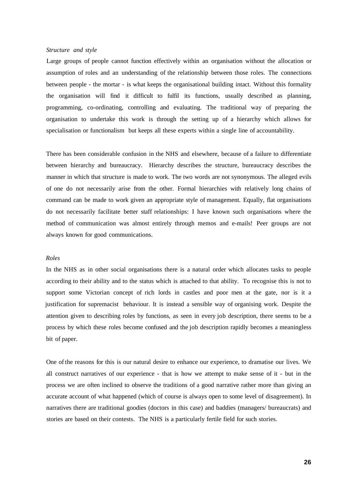# *Structure and style*

Large groups of people cannot function effectively within an organisation without the allocation or assumption of roles and an understanding of the relationship between those roles. The connections between people - the mortar - is what keeps the organisational building intact. Without this formality the organisation will find it difficult to fulfil its functions, usually described as planning, programming, co-ordinating, controlling and evaluating. The traditional way of preparing the organisation to undertake this work is through the setting up of a hierarchy which allows for specialisation or functionalism but keeps all these experts within a single line of accountability.

There has been considerable confusion in the NHS and elsewhere, because of a failure to differentiate between hierarchy and bureaucracy. Hierarchy describes the structure, bureaucracy describes the manner in which that structure is made to work. The two words are not synonymous. The alleged evils of one do not necessarily arise from the other. Formal hierarchies with relatively long chains of command can be made to work given an appropriate style of management. Equally, flat organisations do not necessarily facilitate better staff relationships: I have known such organisations where the method of communication was almost entirely through memos and e-mails! Peer groups are not always known for good communications.

#### *Roles*

In the NHS as in other social organisations there is a natural order which allocates tasks to people according to their ability and to the status which is attached to that ability. To recognise this is not to support some Victorian concept of rich lords in castles and poor men at the gate, nor is it a justification for supremacist behaviour. It is instead a sensible way of organising work. Despite the attention given to describing roles by functions, as seen in every job description, there seems to be a process by which these roles become confused and the job description rapidly becomes a meaningless bit of paper.

One of the reasons for this is our natural desire to enhance our experience, to dramatise our lives. We all construct narratives of our experience - that is how we attempt to make sense of it - but in the process we are often inclined to observe the traditions of a good narrative rather more than giving an accurate account of what happened (which of course is always open to some level of disagreement). In narratives there are traditional goodies (doctors in this case) and baddies (managers/ bureaucrats) and stories are based on their contests. The NHS is a particularly fertile field for such stories.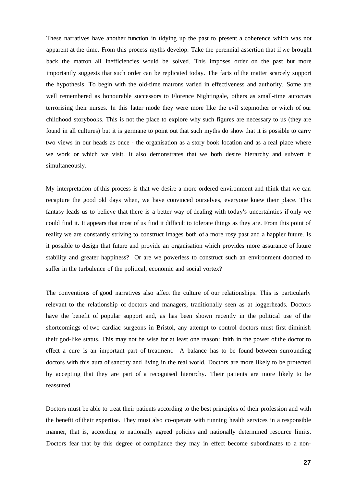These narratives have another function in tidying up the past to present a coherence which was not apparent at the time. From this process myths develop. Take the perennial assertion that if we brought back the matron all inefficiencies would be solved. This imposes order on the past but more importantly suggests that such order can be replicated today. The facts of the matter scarcely support the hypothesis. To begin with the old-time matrons varied in effectiveness and authority. Some are well remembered as honourable successors to Florence Nightingale, others as small-time autocrats terrorising their nurses. In this latter mode they were more like the evil stepmother or witch of our childhood storybooks. This is not the place to explore why such figures are necessary to us (they are found in all cultures) but it is germane to point out that such myths do show that it is possible to carry two views in our heads as once - the organisation as a story book location and as a real place where we work or which we visit. It also demonstrates that we both desire hierarchy and subvert it simultaneously.

My interpretation of this process is that we desire a more ordered environment and think that we can recapture the good old days when, we have convinced ourselves, everyone knew their place. This fantasy leads us to believe that there is a better way of dealing with today's uncertainties if only we could find it. It appears that most of us find it difficult to tolerate things as they are. From this point of reality we are constantly striving to construct images both of a more rosy past and a happier future. Is it possible to design that future and provide an organisation which provides more assurance of future stability and greater happiness? Or are we powerless to construct such an environment doomed to suffer in the turbulence of the political, economic and social vortex?

The conventions of good narratives also affect the culture of our relationships. This is particularly relevant to the relationship of doctors and managers, traditionally seen as at loggerheads. Doctors have the benefit of popular support and, as has been shown recently in the political use of the shortcomings of two cardiac surgeons in Bristol, any attempt to control doctors must first diminish their god-like status. This may not be wise for at least one reason: faith in the power of the doctor to effect a cure is an important part of treatment. A balance has to be found between surrounding doctors with this aura of sanctity and living in the real world. Doctors are more likely to be protected by accepting that they are part of a recognised hierarchy. Their patients are more likely to be reassured.

Doctors must be able to treat their patients according to the best principles of their profession and with the benefit of their expertise. They must also co-operate with running health services in a responsible manner, that is, according to nationally agreed policies and nationally determined resource limits. Doctors fear that by this degree of compliance they may in effect become subordinates to a non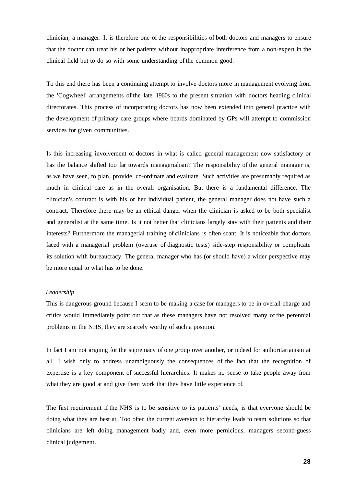clinician, a manager. It is therefore one of the responsibilities of both doctors and managers to ensure that the doctor can treat his or her patients without inappropriate interference from a non-expert in the clinical field but to do so with some understanding of the common good.

To this end there has been a continuing attempt to involve doctors more in management evolving from the 'Cogwheel' arrangements of the late 1960s to the present situation with doctors heading clinical directorates. This process of incorporating doctors has now been extended into general practice with the development of primary care groups where boards dominated by GPs will attempt to commission services for given communities.

Is this increasing involvement of doctors in what is called general management now satisfactory or has the balance shifted too far towards managerialism? The responsibility of the general manager is, as we have seen, to plan, provide, co-ordinate and evaluate. Such activities are presumably required as much in clinical care as in the overall organisation. But there is a fundamental difference. The clinician's contract is with his or her individual patient, the general manager does not have such a contract. Therefore there may be an ethical danger when the clinician is asked to be both specialist and generalist at the same time. Is it not better that clinicians largely stay with their patients and their interests? Furthermore the managerial training of clinicians is often scant. It is noticeable that doctors faced with a managerial problem (overuse of diagnostic tests) side-step responsibility or complicate its solution with bureaucracy. The general manager who has (or should have) a wider perspective may be more equal to what has to be done.

### *Leadership*

This is dangerous ground because I seem to be making a case for managers to be in overall charge and critics would immediately point out that as these managers have not resolved many of the perennial problems in the NHS, they are scarcely worthy of such a position.

In fact I am not arguing for the supremacy of one group over another, or indeed for authoritarianism at all. I wish only to address unambiguously the consequences of the fact that the recognition of expertise is a key component of successful hierarchies. It makes no sense to take people away from what they are good at and give them work that they have little experience of.

The first requirement if the NHS is to be sensitive to its patients' needs, is that everyone should be doing what they are best at. Too often the current aversion to hierarchy leads to team solutions so that clinicians are left doing management badly and, even more pernicious, managers second-guess clinical judgement.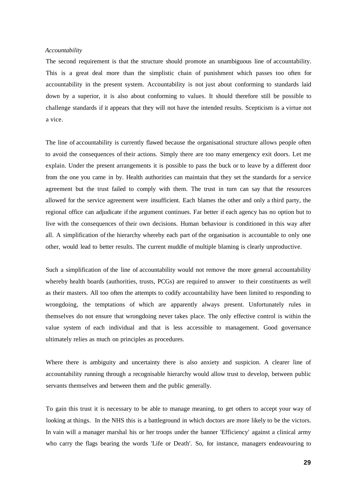### *Accountability*

The second requirement is that the structure should promote an unambiguous line of accountability. This is a great deal more than the simplistic chain of punishment which passes too often for accountability in the present system. Accountability is not just about conforming to standards laid down by a superior, it is also about conforming to values. It should therefore still be possible to challenge standards if it appears that they will not have the intended results. Scepticism is a virtue not a vice.

The line of accountability is currently flawed because the organisational structure allows people often to avoid the consequences of their actions. Simply there are too many emergency exit doors. Let me explain. Under the present arrangements it is possible to pass the buck or to leave by a different door from the one you came in by. Health authorities can maintain that they set the standards for a service agreement but the trust failed to comply with them. The trust in turn can say that the resources allowed for the service agreement were insufficient. Each blames the other and only a third party, the regional office can adjudicate if the argument continues. Far better if each agency has no option but to live with the consequences of their own decisions. Human behaviour is conditioned in this way after all. A simplification of the hierarchy whereby each part of the organisation is accountable to only one other, would lead to better results. The current muddle of multiple blaming is clearly unproductive.

Such a simplification of the line of accountability would not remove the more general accountability whereby health boards (authorities, trusts, PCGs) are required to answer to their constituents as well as their masters. All too often the attempts to codify accountability have been limited to responding to wrongdoing, the temptations of which are apparently always present. Unfortunately rules in themselves do not ensure that wrongdoing never takes place. The only effective control is within the value system of each individual and that is less accessible to management. Good governance ultimately relies as much on principles as procedures.

Where there is ambiguity and uncertainty there is also anxiety and suspicion. A clearer line of accountability running through a recognisable hierarchy would allow trust to develop, between public servants themselves and between them and the public generally.

To gain this trust it is necessary to be able to manage meaning, to get others to accept your way of looking at things. In the NHS this is a battleground in which doctors are more likely to be the victors. In vain will a manager marshal his or her troops under the banner 'Efficiency' against a clinical army who carry the flags bearing the words 'Life or Death'. So, for instance, managers endeavouring to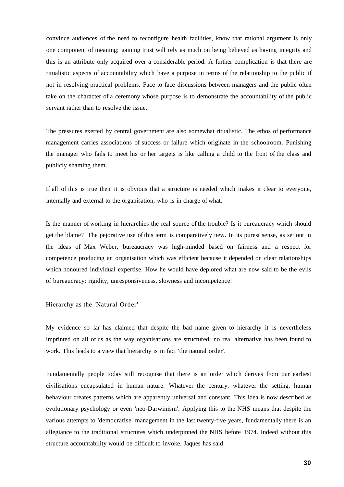convince audiences of the need to reconfigure health facilities, know that rational argument is only one component of meaning; gaining trust will rely as much on being believed as having integrity and this is an attribute only acquired over a considerable period. A further complication is that there are ritualistic aspects of accountability which have a purpose in terms of the relationship to the public if not in resolving practical problems. Face to face discussions between managers and the public often take on the character of a ceremony whose purpose is to demonstrate the accountability of the public servant rather than to resolve the issue.

The pressures exerted by central government are also somewhat ritualistic. The ethos of performance management carries associations of success or failure which originate in the schoolroom. Punishing the manager who fails to meet his or her targets is like calling a child to the front of the class and publicly shaming them.

If all of this is true then it is obvious that a structure is needed which makes it clear to everyone, internally and external to the organisation, who is in charge of what.

Is the manner of working in hierarchies the real source of the trouble? Is it bureaucracy which should get the blame? The pejorative use of this term is comparatively new. In its purest sense, as set out in the ideas of Max Weber, bureaucracy was high-minded based on fairness and a respect for competence producing an organisation which was efficient because it depended on clear relationships which honoured individual expertise. How he would have deplored what are now said to be the evils of bureaucracy: rigidity, unresponsiveness, slowness and incompetence!

Hierarchy as the 'Natural Order'

My evidence so far has claimed that despite the bad name given to hierarchy it is nevertheless imprinted on all of us as the way organisations are structured; no real alternative has been found to work. This leads to a view that hierarchy is in fact 'the natural order'.

Fundamentally people today still recognise that there is an order which derives from our earliest civilisations encapsulated in human nature. Whatever the century, whatever the setting, human behaviour creates patterns which are apparently universal and constant. This idea is now described as evolutionary psychology or even 'neo-Darwinism'. Applying this to the NHS means that despite the various attempts to 'democratise' management in the last twenty-five years, fundamentally there is an allegiance to the traditional structures which underpinned the NHS before 1974. Indeed without this structure accountability would be difficult to invoke. Jaques has said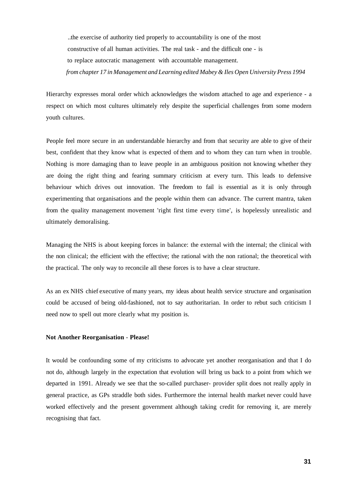..the exercise of authority tied properly to accountability is one of the most constructive of all human activities. The real task - and the difficult one - is to replace autocratic management with accountable management. *from chapter 17 in Management and Learning edited Mabey & Iles Open University Press 1994* 

Hierarchy expresses moral order which acknowledges the wisdom attached to age and experience - a respect on which most cultures ultimately rely despite the superficial challenges from some modern youth cultures.

People feel more secure in an understandable hierarchy and from that security are able to give of their best, confident that they know what is expected of them and to whom they can turn when in trouble. Nothing is more damaging than to leave people in an ambiguous position not knowing whether they are doing the right thing and fearing summary criticism at every turn. This leads to defensive behaviour which drives out innovation. The freedom to fail is essential as it is only through experimenting that organisations and the people within them can advance. The current mantra, taken from the quality management movement 'right first time every time', is hopelessly unrealistic and ultimately demoralising.

Managing the NHS is about keeping forces in balance: the external with the internal; the clinical with the non clinical; the efficient with the effective; the rational with the non rational; the theoretical with the practical. The only way to reconcile all these forces is to have a clear structure.

As an ex NHS chief executive of many years, my ideas about health service structure and organisation could be accused of being old-fashioned, not to say authoritarian. In order to rebut such criticism I need now to spell out more clearly what my position is.

# **Not Another Reorganisation** - **Please!**

It would be confounding some of my criticisms to advocate yet another reorganisation and that I do not do, although largely in the expectation that evolution will bring us back to a point from which we departed in 1991. Already we see that the so-called purchaser- provider split does not really apply in general practice, as GPs straddle both sides. Furthermore the internal health market never could have worked effectively and the present government although taking credit for removing it, are merely recognising that fact.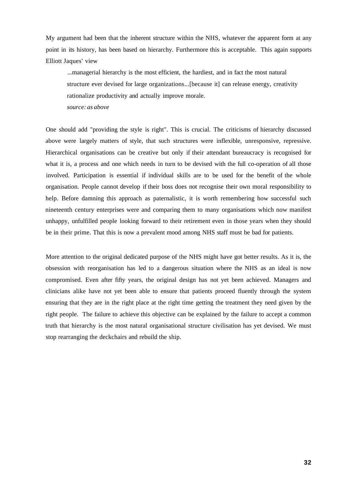My argument had been that the inherent structure within the NHS, whatever the apparent form at any point in its history, has been based on hierarchy. Furthermore this is acceptable. This again supports Elliott Jaques' view

...managerial hierarchy is the most efficient, the hardiest, and in fact the most natural structure ever devised for large organizations...[because it] can release energy, creativity rationalize productivity and actually improve morale. *source: as above* 

One should add "providing the style is right". This is crucial. The criticisms of hierarchy discussed above were largely matters of style, that such structures were inflexible, unresponsive, repressive. Hierarchical organisations can be creative but only if their attendant bureaucracy is recognised for what it is, a process and one which needs in turn to be devised with the full co-operation of all those involved. Participation is essential if individual skills are to be used for the benefit of the whole organisation. People cannot develop if their boss does not recognise their own moral responsibility to help. Before damning this approach as paternalistic, it is worth remembering how successful such nineteenth century enterprises were and comparing them to many organisations which now manifest unhappy, unfulfilled people looking forward to their retirement even in those years when they should be in their prime. That this is now a prevalent mood among NHS staff must be bad for patients.

More attention to the original dedicated purpose of the NHS might have got better results. As it is, the obsession with reorganisation has led to a dangerous situation where the NHS as an ideal is now compromised. Even after fifty years, the original design has not yet been achieved. Managers and clinicians alike have not yet been able to ensure that patients proceed fluently through the system ensuring that they are in the right place at the right time getting the treatment they need given by the right people. The failure to achieve this objective can be explained by the failure to accept a common truth that hierarchy is the most natural organisational structure civilisation has yet devised. We must stop rearranging the deckchairs and rebuild the ship.